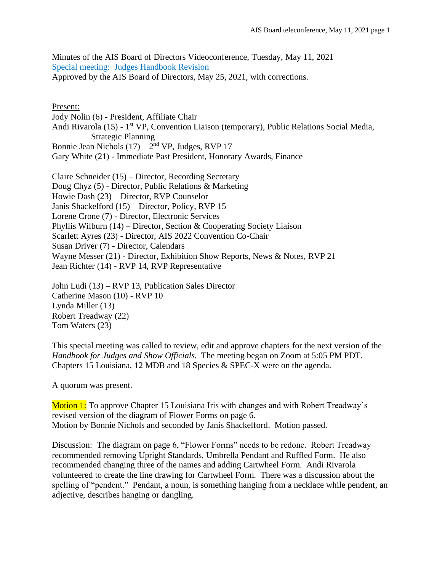Minutes of the AIS Board of Directors Videoconference, Tuesday, May 11, 2021 Special meeting: Judges Handbook Revision Approved by the AIS Board of Directors, May 25, 2021, with corrections.

## Present:

Jody Nolin (6) - President, Affiliate Chair Andi Rivarola (15) - 1<sup>st</sup> VP, Convention Liaison (temporary), Public Relations Social Media, Strategic Planning Bonnie Jean Nichols  $(17) - 2<sup>nd</sup> VP$ , Judges, RVP 17 Gary White (21) - Immediate Past President, Honorary Awards, Finance

Claire Schneider (15) – Director, Recording Secretary Doug Chyz (5) - Director, Public Relations & Marketing Howie Dash (23) – Director, RVP Counselor Janis Shackelford (15) – Director, Policy, RVP 15 Lorene Crone (7) - Director, Electronic Services Phyllis Wilburn (14) – Director, Section & Cooperating Society Liaison Scarlett Ayres (23) - Director, AIS 2022 Convention Co-Chair Susan Driver (7) - Director, Calendars Wayne Messer (21) - Director, Exhibition Show Reports, News & Notes, RVP 21 Jean Richter (14) - RVP 14, RVP Representative

John Ludi (13) – RVP 13, Publication Sales Director Catherine Mason (10) - RVP 10 Lynda Miller (13) Robert Treadway (22) Tom Waters (23)

This special meeting was called to review, edit and approve chapters for the next version of the *Handbook for Judges and Show Officials.* The meeting began on Zoom at 5:05 PM PDT. Chapters 15 Louisiana, 12 MDB and 18 Species & SPEC-X were on the agenda.

A quorum was present.

Motion 1: To approve Chapter 15 Louisiana Iris with changes and with Robert Treadway's revised version of the diagram of Flower Forms on page 6. Motion by Bonnie Nichols and seconded by Janis Shackelford. Motion passed.

Discussion: The diagram on page 6, "Flower Forms" needs to be redone. Robert Treadway recommended removing Upright Standards, Umbrella Pendant and Ruffled Form. He also recommended changing three of the names and adding Cartwheel Form. Andi Rivarola volunteered to create the line drawing for Cartwheel Form. There was a discussion about the spelling of "pendent." Pendant, a noun, is something hanging from a necklace while pendent, an adjective, describes hanging or dangling.